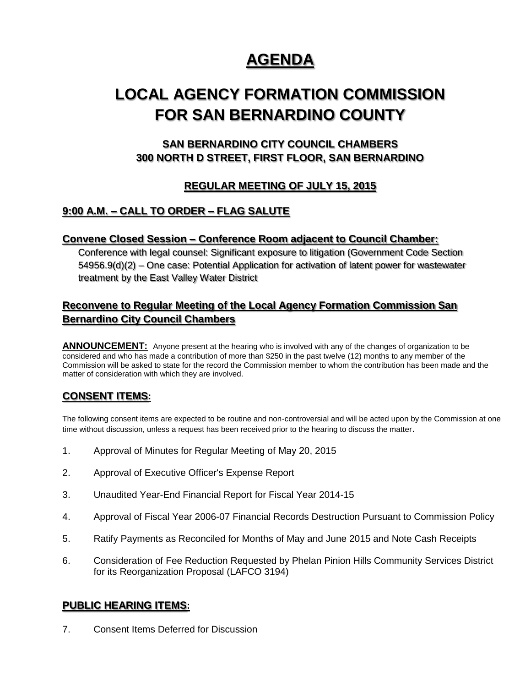# **AGENDA**

# **LOCAL AGENCY FORMATION COMMISSION FOR SAN BERNARDINO COUNTY**

# **SAN BERNARDINO CITY COUNCIL CHAMBERS 300 NORTH D STREET, FIRST FLOOR, SAN BERNARDINO**

# **REGULAR MEETING OF JULY 15, 2015**

# **9:00 A.M. – CALL TO ORDER – FLAG SALUTE**

### **Convene Closed Session – Conference Room adjacent to Council Chamber:**

Conference with legal counsel: Significant exposure to litigation (Government Code Section 54956.9(d)(2) – One case: Potential Application for activation of latent power for wastewater treatment by the East Valley Water District

## **Reconvene to Regular Meeting of the Local Agency Formation Commission San Bernardino City Council Chambers**

**ANNOUNCEMENT:** Anyone present at the hearing who is involved with any of the changes of organization to be considered and who has made a contribution of more than \$250 in the past twelve (12) months to any member of the Commission will be asked to state for the record the Commission member to whom the contribution has been made and the matter of consideration with which they are involved.

### **CONSENT ITEMS:**

The following consent items are expected to be routine and non-controversial and will be acted upon by the Commission at one time without discussion, unless a request has been received prior to the hearing to discuss the matter.

- 1. Approval of Minutes for Regular Meeting of May 20, 2015
- 2. Approval of Executive Officer's Expense Report
- 3. Unaudited Year-End Financial Report for Fiscal Year 2014-15
- 4. Approval of Fiscal Year 2006-07 Financial Records Destruction Pursuant to Commission Policy
- 5. Ratify Payments as Reconciled for Months of May and June 2015 and Note Cash Receipts
- 6. Consideration of Fee Reduction Requested by Phelan Pinion Hills Community Services District for its Reorganization Proposal (LAFCO 3194)

### **PUBLIC HEARING ITEMS:**

7. Consent Items Deferred for Discussion